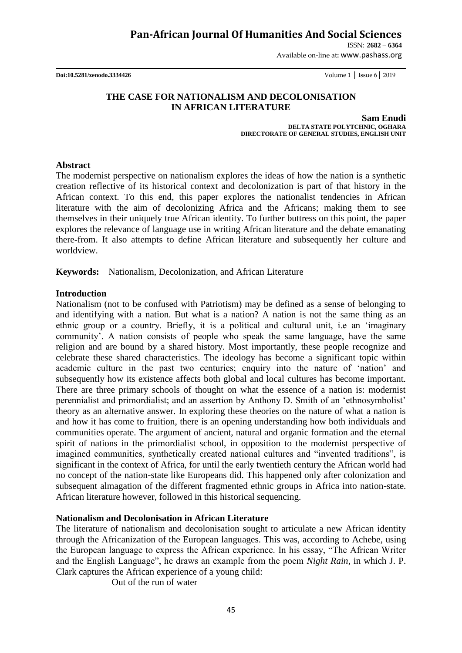ISSN: **2682 – 6364**

Available on-line at**:** www.pashass.org

**Doi:10.5281/zenodo.3334426** Volume 1 │ Issue 6│ 2019

### **THE CASE FOR NATIONALISM AND DECOLONISATION IN AFRICAN LITERATURE**

**Sam Enudi DELTA STATE POLYTCHNIC, OGHARA DIRECTORATE OF GENERAL STUDIES, ENGLISH UNIT**

#### **Abstract**

The modernist perspective on nationalism explores the ideas of how the nation is a synthetic creation reflective of its historical context and decolonization is part of that history in the African context. To this end, this paper explores the nationalist tendencies in African literature with the aim of decolonizing Africa and the Africans; making them to see themselves in their uniquely true African identity. To further buttress on this point, the paper explores the relevance of language use in writing African literature and the debate emanating there-from. It also attempts to define African literature and subsequently her culture and worldview.

**Keywords:** Nationalism, Decolonization, and African Literature

### **Introduction**

Nationalism (not to be confused with Patriotism) may be defined as a sense of belonging to and identifying with a nation. But what is a nation? A nation is not the same thing as an ethnic group or a country. Briefly, it is a political and cultural unit, i.e an "imaginary community". A nation consists of people who speak the same language, have the same religion and are bound by a shared history. Most importantly, these people recognize and celebrate these shared characteristics. The ideology has become a significant topic within academic culture in the past two centuries; enquiry into the nature of "nation" and subsequently how its existence affects both global and local cultures has become important. There are three primary schools of thought on what the essence of a nation is: modernist perennialist and primordialist; and an assertion by Anthony D. Smith of an "ethnosymbolist" theory as an alternative answer. In exploring these theories on the nature of what a nation is and how it has come to fruition, there is an opening understanding how both individuals and communities operate. The argument of ancient, natural and organic formation and the eternal spirit of nations in the primordialist school, in opposition to the modernist perspective of imagined communities, synthetically created national cultures and "invented traditions", is significant in the context of Africa, for until the early twentieth century the African world had no concept of the nation-state like Europeans did. This happened only after colonization and subsequent almagation of the different fragmented ethnic groups in Africa into nation-state. African literature however, followed in this historical sequencing.

### **Nationalism and Decolonisation in African Literature**

The literature of nationalism and decolonisation sought to articulate a new African identity through the Africanization of the European languages. This was, according to Achebe, using the European language to express the African experience. In his essay, "The African Writer and the English Language", he draws an example from the poem *Night Rain*, in which J. P. Clark captures the African experience of a young child:

Out of the run of water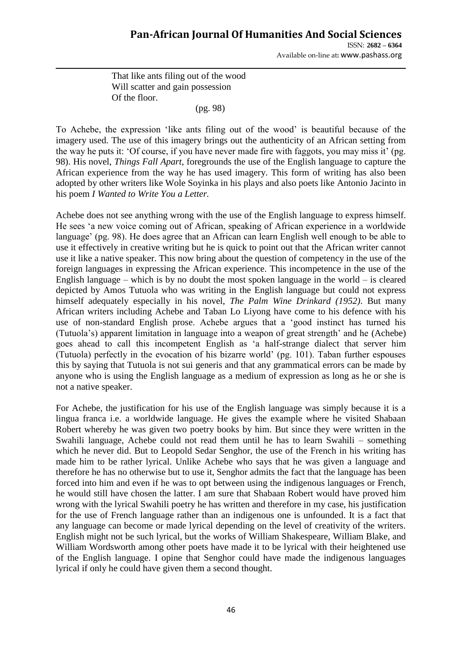ISSN: **2682 – 6364** Available on-line at**:** www.pashass.org

That like ants filing out of the wood Will scatter and gain possession Of the floor.

(pg. 98)

To Achebe, the expression "like ants filing out of the wood" is beautiful because of the imagery used. The use of this imagery brings out the authenticity of an African setting from the way he puts it: 'Of course, if you have never made fire with faggots, you may miss it' (pg. 98). His novel, *Things Fall Apart*, foregrounds the use of the English language to capture the African experience from the way he has used imagery. This form of writing has also been adopted by other writers like Wole Soyinka in his plays and also poets like Antonio Jacinto in his poem *I Wanted to Write You a Letter.*

Achebe does not see anything wrong with the use of the English language to express himself. He sees "a new voice coming out of African, speaking of African experience in a worldwide language' (pg. 98). He does agree that an African can learn English well enough to be able to use it effectively in creative writing but he is quick to point out that the African writer cannot use it like a native speaker. This now bring about the question of competency in the use of the foreign languages in expressing the African experience. This incompetence in the use of the English language – which is by no doubt the most spoken language in the world – is cleared depicted by Amos Tutuola who was writing in the English language but could not express himself adequately especially in his novel, *The Palm Wine Drinkard (1952)*. But many African writers including Achebe and Taban Lo Liyong have come to his defence with his use of non-standard English prose. Achebe argues that a "good instinct has turned his (Tutuola"s) apparent limitation in language into a weapon of great strength" and he (Achebe) goes ahead to call this incompetent English as "a half-strange dialect that server him (Tutuola) perfectly in the evocation of his bizarre world" (pg. 101). Taban further espouses this by saying that Tutuola is not sui generis and that any grammatical errors can be made by anyone who is using the English language as a medium of expression as long as he or she is not a native speaker.

For Achebe, the justification for his use of the English language was simply because it is a lingua franca i.e. a worldwide language. He gives the example where he visited Shabaan Robert whereby he was given two poetry books by him. But since they were written in the Swahili language, Achebe could not read them until he has to learn Swahili – something which he never did. But to Leopold Sedar Senghor, the use of the French in his writing has made him to be rather lyrical. Unlike Achebe who says that he was given a language and therefore he has no otherwise but to use it, Senghor admits the fact that the language has been forced into him and even if he was to opt between using the indigenous languages or French, he would still have chosen the latter. I am sure that Shabaan Robert would have proved him wrong with the lyrical Swahili poetry he has written and therefore in my case, his justification for the use of French language rather than an indigenous one is unfounded. It is a fact that any language can become or made lyrical depending on the level of creativity of the writers. English might not be such lyrical, but the works of William Shakespeare, William Blake, and William Wordsworth among other poets have made it to be lyrical with their heightened use of the English language. I opine that Senghor could have made the indigenous languages lyrical if only he could have given them a second thought.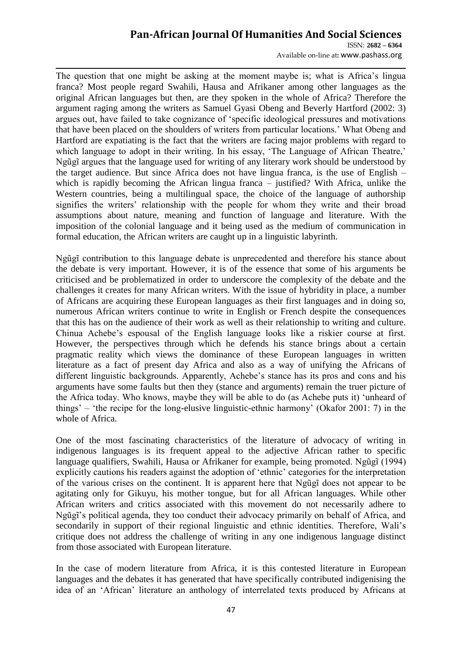ISSN: **2682 – 6364** Available on-line at**:** www.pashass.org

The question that one might be asking at the moment maybe is; what is Africa"s lingua franca? Most people regard Swahili, Hausa and Afrikaner among other languages as the original African languages but then, are they spoken in the whole of Africa? Therefore the argument raging among the writers as Samuel Gyasi Obeng and Beverly Hartford (2002: 3) argues out, have failed to take cognizance of "specific ideological pressures and motivations that have been placed on the shoulders of writers from particular locations." What Obeng and Hartford are expatiating is the fact that the writers are facing major problems with regard to which language to adopt in their writing. In his essay, 'The Language of African Theatre,' Ngũgĩ argues that the language used for writing of any literary work should be understood by the target audience. But since Africa does not have lingua franca, is the use of English – which is rapidly becoming the African lingua franca – justified? With Africa, unlike the Western countries, being a multilingual space, the choice of the language of authorship signifies the writers' relationship with the people for whom they write and their broad assumptions about nature, meaning and function of language and literature. With the imposition of the colonial language and it being used as the medium of communication in formal education, the African writers are caught up in a linguistic labyrinth.

Ngũgĩ contribution to this language debate is unprecedented and therefore his stance about the debate is very important. However, it is of the essence that some of his arguments be criticised and be problematized in order to underscore the complexity of the debate and the challenges it creates for many African writers. With the issue of hybridity in place, a number of Africans are acquiring these European languages as their first languages and in doing so, numerous African writers continue to write in English or French despite the consequences that this has on the audience of their work as well as their relationship to writing and culture. Chinua Achebe"s espousal of the English language looks like a riskier course at first. However, the perspectives through which he defends his stance brings about a certain pragmatic reality which views the dominance of these European languages in written literature as a fact of present day Africa and also as a way of unifying the Africans of different linguistic backgrounds. Apparently, Achebe's stance has its pros and cons and his arguments have some faults but then they (stance and arguments) remain the truer picture of the Africa today. Who knows, maybe they will be able to do (as Achebe puts it) "unheard of things" – "the recipe for the long-elusive linguistic-ethnic harmony" (Okafor 2001: 7) in the whole of Africa.

One of the most fascinating characteristics of the literature of advocacy of writing in indigenous languages is its frequent appeal to the adjective African rather to specific language qualifiers, Swahili, Hausa or Afrikaner for example, being promoted. Ngũgĩ (1994) explicitly cautions his readers against the adoption of "ethnic" categories for the interpretation of the various crises on the continent. It is apparent here that Ngũgĩ does not appear to be agitating only for Gikuyu, his mother tongue, but for all African languages. While other African writers and critics associated with this movement do not necessarily adhere to Ngũgĩ"s political agenda, they too conduct their advocacy primarily on behalf of Africa, and secondarily in support of their regional linguistic and ethnic identities. Therefore, Wali's critique does not address the challenge of writing in any one indigenous language distinct from those associated with European literature.

In the case of modern literature from Africa, it is this contested literature in European languages and the debates it has generated that have specifically contributed indigenising the idea of an "African" literature an anthology of interrelated texts produced by Africans at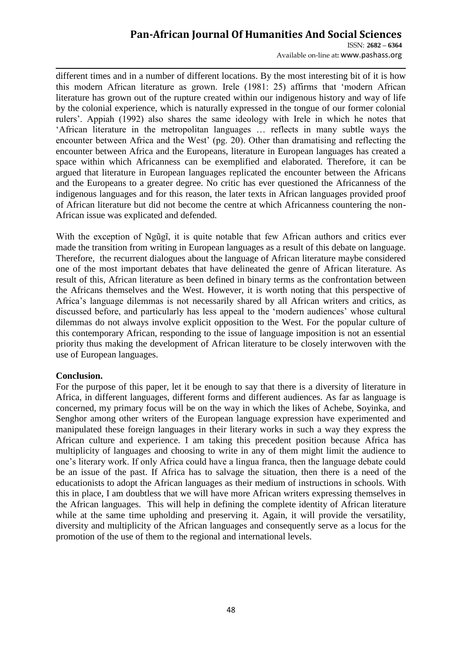ISSN: **2682 – 6364** Available on-line at**:** www.pashass.org

different times and in a number of different locations. By the most interesting bit of it is how this modern African literature as grown. Irele (1981: 25) affirms that "modern African literature has grown out of the rupture created within our indigenous history and way of life by the colonial experience, which is naturally expressed in the tongue of our former colonial rulers". Appiah (1992) also shares the same ideology with Irele in which he notes that "African literature in the metropolitan languages … reflects in many subtle ways the encounter between Africa and the West' (pg. 20). Other than dramatising and reflecting the encounter between Africa and the Europeans, literature in European languages has created a space within which Africanness can be exemplified and elaborated. Therefore, it can be argued that literature in European languages replicated the encounter between the Africans and the Europeans to a greater degree. No critic has ever questioned the Africanness of the indigenous languages and for this reason, the later texts in African languages provided proof of African literature but did not become the centre at which Africanness countering the non-African issue was explicated and defended.

With the exception of Ngũgĩ, it is quite notable that few African authors and critics ever made the transition from writing in European languages as a result of this debate on language. Therefore, the recurrent dialogues about the language of African literature maybe considered one of the most important debates that have delineated the genre of African literature. As result of this, African literature as been defined in binary terms as the confrontation between the Africans themselves and the West. However, it is worth noting that this perspective of Africa"s language dilemmas is not necessarily shared by all African writers and critics, as discussed before, and particularly has less appeal to the 'modern audiences' whose cultural dilemmas do not always involve explicit opposition to the West. For the popular culture of this contemporary African, responding to the issue of language imposition is not an essential priority thus making the development of African literature to be closely interwoven with the use of European languages.

### **Conclusion.**

For the purpose of this paper, let it be enough to say that there is a diversity of literature in Africa, in different languages, different forms and different audiences. As far as language is concerned, my primary focus will be on the way in which the likes of Achebe, Soyinka, and Senghor among other writers of the European language expression have experimented and manipulated these foreign languages in their literary works in such a way they express the African culture and experience. I am taking this precedent position because Africa has multiplicity of languages and choosing to write in any of them might limit the audience to one"s literary work. If only Africa could have a lingua franca, then the language debate could be an issue of the past. If Africa has to salvage the situation, then there is a need of the educationists to adopt the African languages as their medium of instructions in schools. With this in place, I am doubtless that we will have more African writers expressing themselves in the African languages. This will help in defining the complete identity of African literature while at the same time upholding and preserving it. Again, it will provide the versatility, diversity and multiplicity of the African languages and consequently serve as a locus for the promotion of the use of them to the regional and international levels.